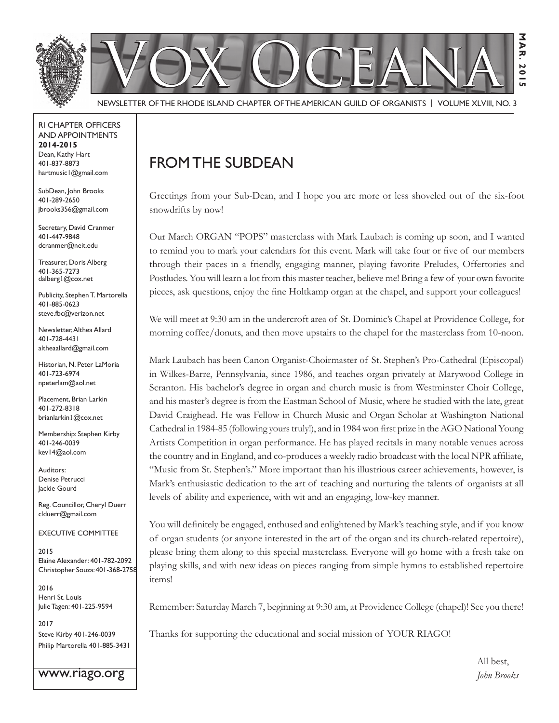

Newsletter of the Rhode Island Chapter of the American Guild of OrganistS | Volume XLVIII, No. 3

RI Chapter Officers and Appointments **2014-2015** Dean, Kathy Hart 401-837-8873 hartmusic1@gmail.com

SubDean, John Brooks 401-289-2650 jbrooks356@gmail.com

Secretary, David Cranmer 401-447-9848 dcranmer@neit.edu

Treasurer, Doris Alberg 401-365-7273 dalberg1@cox.net

Publicity, Stephen T. Martorella 401-885-0623 steve.fbc@verizon.net

Newsletter, Althea Allard 401-728-4431 altheaallard@gmail.com

Historian, N. Peter LaMoria 401-723-6974 npeterlam@aol.net

Placement, Brian Larkin 401-272-8318 brianlarkin1@cox.net

Membership: Stephen Kirby 401-246-0039 kev14@aol.com

Auditors: Denise Petrucci Jackie Gourd

Reg. Councillor, Cheryl Duerr clduerr@gmail.com

Executive Committee

2015 Elaine Alexander: 401-782-2092 Christopher Souza: 401-368-2758

2016 Henri St. Louis Julie Tagen: 401-225-9594

2017 Steve Kirby 401-246-0039 Philip Martorella 401-885-3431

www.riago.org

## From the SubDean

Greetings from your Sub-Dean, and I hope you are more or less shoveled out of the six-foot snowdrifts by now!

Our March ORGAN "POPS" masterclass with Mark Laubach is coming up soon, and I wanted to remind you to mark your calendars for this event. Mark will take four or five of our members through their paces in a friendly, engaging manner, playing favorite Preludes, Offertories and Postludes. You will learn a lot from this master teacher, believe me! Bring a few of your own favorite pieces, ask questions, enjoy the fine Holtkamp organ at the chapel, and support your colleagues!

We will meet at 9:30 am in the undercroft area of St. Dominic's Chapel at Providence College, for morning coffee/donuts, and then move upstairs to the chapel for the masterclass from 10-noon.

Mark Laubach has been Canon Organist-Choirmaster of St. Stephen's Pro-Cathedral (Episcopal) in Wilkes-Barre, Pennsylvania, since 1986, and teaches organ privately at Marywood College in Scranton. His bachelor's degree in organ and church music is from Westminster Choir College, and his master's degree is from the Eastman School of Music, where he studied with the late, great David Craighead. He was Fellow in Church Music and Organ Scholar at Washington National Cathedral in 1984-85 (following yours truly!), and in 1984 won first prize in the AGO National Young Artists Competition in organ performance. He has played recitals in many notable venues across the country and in England, and co-produces a weekly radio broadcast with the local NPR affiliate, "Music from St. Stephen's." More important than his illustrious career achievements, however, is Mark's enthusiastic dedication to the art of teaching and nurturing the talents of organists at all levels of ability and experience, with wit and an engaging, low-key manner.

You will definitely be engaged, enthused and enlightened by Mark's teaching style, and if you know of organ students (or anyone interested in the art of the organ and its church-related repertoire), please bring them along to this special masterclass. Everyone will go home with a fresh take on playing skills, and with new ideas on pieces ranging from simple hymns to established repertoire items!

Remember: Saturday March 7, beginning at 9:30 am, at Providence College (chapel)! See you there!

Thanks for supporting the educational and social mission of YOUR RIAGO!

 All best, *John Brooks*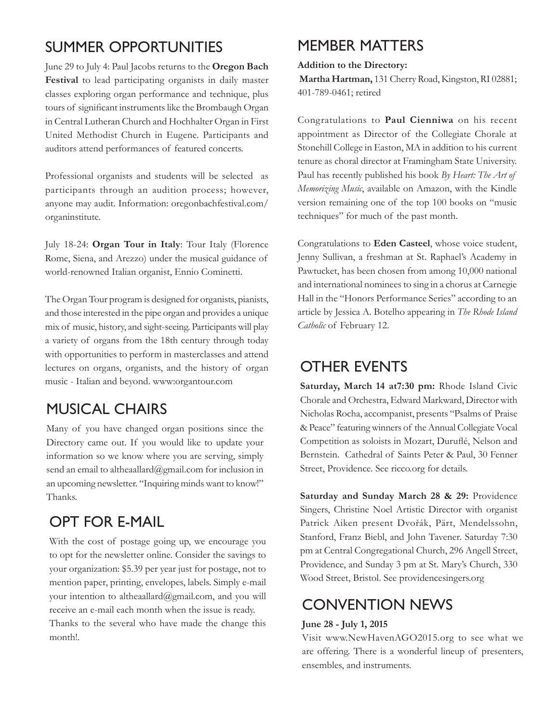## Summer Opportunities

June 29 to July 4: Paul Jacobs returns to the **Oregon Bach Festival** to lead participating organists in daily master classes exploring organ performance and technique, plus tours of significant instruments like the Brombaugh Organ in Central Lutheran Church and Hochhalter Organ in First United Methodist Church in Eugene. Participants and auditors attend performances of featured concerts.

Professional organists and students will be selected as participants through an audition process; however, anyone may audit. Information: oregonbachfestival.com/ organinstitute.

July 18-24: **Organ Tour in Italy**: Tour Italy (Florence Rome, Siena, and Arezzo) under the musical guidance of world-renowned Italian organist, Ennio Cominetti.

The Organ Tour program is designed for organists, pianists, and those interested in the pipe organ and provides a unique mix of music, history, and sight-seeing. Participants will play a variety of organs from the 18th century through today with opportunities to perform in masterclasses and attend lectures on organs, organists, and the history of organ music - Italian and beyond. www:organtour.com

## Musical Chairs

Many of you have changed organ positions since the Directory came out. If you would like to update your information so we know where you are serving, simply send an email to altheaallard@gmail.com for inclusion in an upcoming newsletter. "Inquiring minds want to know!" Thanks.

## OPT FOR E-MAIL

With the cost of postage going up, we encourage you to opt for the newsletter online. Consider the savings to your organization: \$5.39 per year just for postage, not to mention paper, printing, envelopes, labels. Simply e-mail your intention to altheaallard@gmail.com, and you will receive an e-mail each month when the issue is ready. Thanks to the several who have made the change this month!.

## Member Matters

#### **Addition to the Directory:**

 **Martha Hartman,** 131 Cherry Road, Kingston, RI 02881; 401-789-0461; retired

Congratulations to **Paul Cienniwa** on his recent appointment as Director of the Collegiate Chorale at Stonehill College in Easton, MA in addition to his current tenure as choral director at Framingham State University. Paul has recently published his book *By Heart: The Art of Memorizing Music*, available on Amazon, with the Kindle version remaining one of the top 100 books on "music techniques" for much of the past month.

Congratulations to **Eden Casteel**, whose voice student, Jenny Sullivan, a freshman at St. Raphael's Academy in Pawtucket, has been chosen from among 10,000 national and international nominees to sing in a chorus at Carnegie Hall in the "Honors Performance Series" according to an article by Jessica A. Botelho appearing in *The Rhode Island Catholic* of February 12.

### Other Events

**Saturday, March 14 at7:30 pm:** Rhode Island Civic Chorale and Orchestra, Edward Markward, Director with Nicholas Rocha, accompanist, presents "Psalms of Praise & Peace" featuring winners of the Annual Collegiate Vocal Competition as soloists in Mozart, Duruflé, Nelson and Bernstein. Cathedral of Saints Peter & Paul, 30 Fenner Street, Providence. See ricco.org for details.

**Saturday and Sunday March 28 & 29:** Providence Singers, Christine Noel Artistic Director with organist Patrick Aiken present Dvořák, Pärt, Mendelssohn, Stanford, Franz Biebl, and John Tavener. Saturday 7:30 pm at Central Congregational Church, 296 Angell Street, Providence, and Sunday 3 pm at St. Mary's Church, 330 Wood Street, Bristol. See providencesingers.org

### Convention News

#### **June 28 - July 1, 2015**

Visit www.NewHavenAGO2015.org to see what we are offering. There is a wonderful lineup of presenters, ensembles, and instruments.